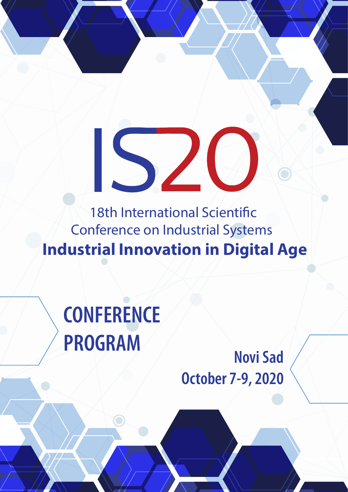18th International Scientific Conference on Industrial Systems **Industrial Innovation in Digital Age**

 $\sqrt{2}$ 

**CONFERENCE PROGRAM**

**Novi Sad October 7-9, 2020**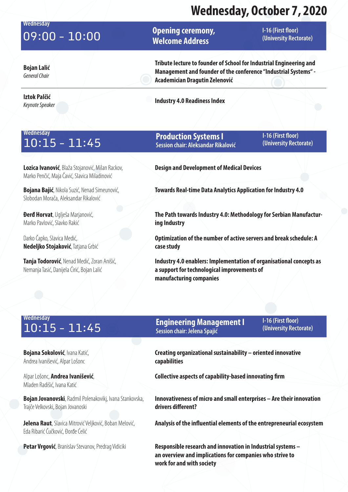### **Wednesday Opening ceremony, Welcome Address I-16 (First floor)**<br> **I-16 (First floor) Opening ceremony,** I-16 (First floor)<br> **I-16 (University Rectorate) Bojan Lalić Tribute lecture to founder of School for Industrial Engineering and**

*General Chair*

### **Iztok Palčić**

**Management and founder of the conference "Industrial Systems" - Academician Dragutin Zelenović**

*Keynote Speaker* **Industry 4.0 Readiness Index**

### **Wednesday** 10:15 - 11:45

**Lozica Ivanović**, Blaža Stojanović, Milan Rackov, Marko Penčić, Maja Čavić, Slavica Miladinović

**Bojana Bajić**, Nikola Suzić, Nenad Simeunović, Slobodan Morača, Aleksandar Rikalović

**Đerđ Horvat**, Uglješa Marjanović, Marko Pavlović, Slavko Rakić

Darko Čapko, Slavica Medić, **Nedeljko Stojaković**, Tatjana Grbić

**Tanja Todorović**, Nenad Medić, Zoran Anišić, Nemanja Tasić, Danijela Ćirić, Bojan Lalić

### **Production Systems I Session chair: Aleksandar Rikalović**

**I-16 (First floor) (University Rectorate)**

**Design and Development of Medical Devices**

**Towards Real-time Data Analytics Application for Industry 4.0**

**The Path towards Industry 4.0: Methodology for Serbian Manufacturing Industry**

**Optimization of the number of active servers and break schedule: A case study**

**Industry 4.0 enablers: Implementation of organisational concepts as a support for technological improvements of manufacturing companies**

# **Wednesday**

**Bojana Sokolović**, Ivana Katić, Andrea Ivanišević, Alpar Lošonc

Alpar Lošonc, **Andrea Ivanišević**, Mladen Radišić, Ivana Katić

**Bojan Jovanovski**, Radmil Polenakovikj, Ivana Stankovska, Trajče Velkovski, Bojan Jovanoski

**Jelena Raut**, Slavica Mitrović Veljković, Boban Melović, Eda Ribarić Čučković, Đorđe Ćelić

#### **Engineering Management I Session chair: Jelena Spajić** 10:15 - 11:45 **(University Rectorate)**

**I-16 (First floor)** 

**Creating organizational sustainability – oriented innovative capabilities**

**Collective aspects of capability-based innovating firm**

**Innovativeness of micro and small enterprises – Are their innovation drivers different?**

**Analysis of the influential elements of the entrepreneurial ecosystem**

Petar Vrgović, Branislav Stevanov, Predrag Vidiciki **Responsible research and innovation in Industrial systems – an overview and implications for companies who strive to work for and with society**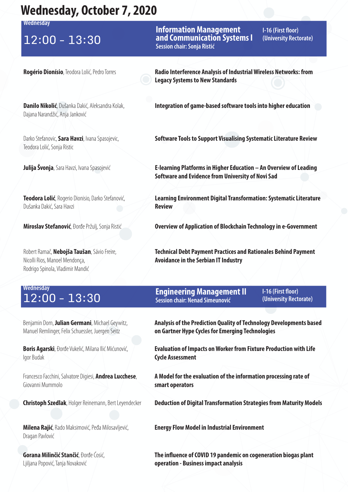**Wednesday**

**Information Management and Communication Systems I Session chair: Sonja Ristić** 12:00 - 13:30 **and Communication Systems I** (University Rectorate)

**I-16 (First floor)** 

**Rogério Dionísio**, Teodora Lolić, Pedro Torres **Radio Interference Analysis of Industrial Wireless Networks: from Legacy Systems to New Standards**

**Danilo Nikolić**, Dušanka Dakić, Aleksandra Kolak, Dajana Narandžić, Anja Janković

Darko Stefanovic, **Sara Havzi**, Ivana Spasojevic, Teodora Lolić, Sonja Ristic

**Teodora Lolić**, Rogerio Dionisio, Darko Stefanović, Dušanka Dakić, Sara Havzi

Robert Ramač, **Nebojša Taušan**, Sávio Freire, Nicolli Rios, Manoel Mendonça, Rodrigo Spinola, Vladimir Mandić

### **Integration of game-based software tools into higher education**

**Software Tools to Support Visualising Systematic Literature Review**

**Julija Švonja**, Sara Havzi, Ivana Spasojević **E-learning Platforms in Higher Education – An Overview of Leading Software and Evidence from University of Novi Sad**

> **Learning Environment Digital Transformation: Systematic Literature Review**

**Miroslav Stefanović**, Đorđe Pržulj, Sonja Ristić **Overview of Application of Blockchain Technology in e-Government**

**Technical Debt Payment Practices and Rationales Behind Payment Avoidance in the Serbian IT Industry**

# **Wednesday**

Benjamin Dorn, **Julian Germani**, Michael Geywitz, Manuel Remlinger, Felix Schuessler, Juergen Seitz

**Boris Agarski**, Đorđe Vukelić, Milana Ilić Mićunović, Igor Budak

Francesco Facchini, Salvatore Digiesi, **Andrea Lucchese**, Giovanni Mummolo

**Milena Rajić**, Rado Maksimović, Peđa Milosavljević, Dragan Pavlović

**Gorana Milinčić Stančić**, Đorđe Ćosić, Ljiljana Popović, Tanja Novaković

#### **Engineering Management II Session chair: Nenad Simeunović** 12:00 - 13:30 **(University Rectorate)**

**I-16 (First floor)** 

**Analysis of the Prediction Quality of Technology Developments based on Gartner Hype Cycles for Emerging Technologies**

**Evaluation of Impacts on Worker from Fixture Production with Life Cycle Assessment**

**A Model for the evaluation of the information processing rate of smart operators**

**Christoph Szedlak**, Holger Reinemann, Bert Leyendecker **Deduction of Digital Transformation Strategies from Maturity Models**

**Energy Flow Model in Industrial Environment**

**The influence of COVID 19 pandemic on cogeneration biogas plant operation - Business impact analysis**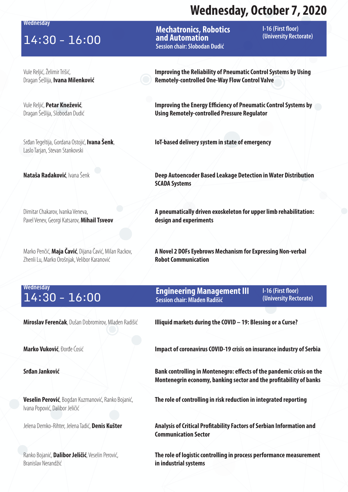**Wednesday**

### 14:30 - 16:00 **and Automation 14:30 - 16:00**

Vule Reljić, Želimir Trišić, Dragan Šešlija, **Ivana Milenković**

Vule Reljić, **Petar Knežević**, Dragan Šešlija, Slobodan Dudić

Srđan Tegeltija, Gordana Ostojić, **Ivana Šenk**, Laslo Tarjan, Stevan Stankovski

Dimitar Chakarov, Ivanka Veneva, Pavel Venev, Georgi Katsarov, **Mihail Tsveov**

Marko Penčić, **Maja Čavić**, Dijana Čavić, Milan Rackov, Zhenli Lu, Marko Orošnjak, Velibor Karanović

**Mechatronics, Robotics and Automation Session chair: Slobodan Dudić**

**I-16 (First floor)** 

**Improving the Reliability of Pneumatic Control Systems by Using Remotely-controlled One-Way Flow Control Valve**

**Improving the Energy Efficiency of Pneumatic Control Systems by Using Remotely-controlled Pressure Regulator**

**IoT-based delivery system in state of emergency**

**Nataša Radaković**, Ivana Šenk **Deep Autoencoder Based Leakage Detection in Water Distribution <b>Nater Distribution SCADA Systems**

> **A pneumatically driven exoskeleton for upper limb rehabilitation: design and experiments**

**A Novel 2 DOFs Eyebrows Mechanism for Expressing Non-verbal Robot Communication**

# **Wednesday**

**Engineering Management III Session chair: Mladen Radišić** 14:30 - 16:00 **(University Rectorate)**

**I-16 (First floor)** 

**Veselin Perović**, Bogdan Kuzmanović, Ranko Bojanić, Ivana Popović, Dalibor Jeličić

Ranko Bojanić, **Dalibor Jeličić**, Veselin Perović, Branislav Nerandžić

**Miroslav Ferenčak**, Dušan Dobromirov, Mladen Radišić **Illiquid markets during the COVID – 19: Blessing or a Curse?**

**Marko Vuković**, Đorđe Ćosić **Impact of coronavirus COVID-19 crisis on insurance industry of Serbia** 

**Srđan Janković Bank controlling in Montenegro: effects of the pandemic crisis on the Montenegrin economy, banking sector and the profitability of banks**

**The role of controlling in risk reduction in integrated reporting**

Jelena Demko-Rihter, Jelena Tadić, **Denis Kušter Analysis of Critical Profitability Factors of Serbian Information and Communication Sector**

> **The role of logistic controlling in process performance measurement in industrial systems**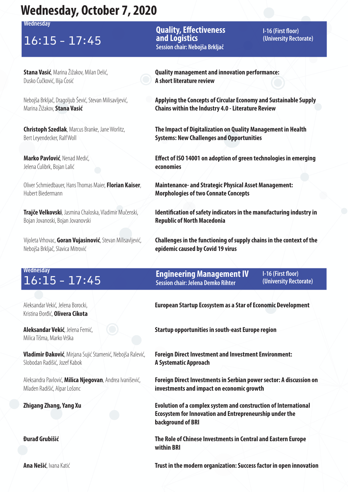**Wednesday**

### 16:15 - 17:45 **and Logistics and Logistics (University Rectorate)**

**Stana Vasić**, Marina Žižakov, Milan Delić, Dusko Čučković, Ilija Ćosić

Nebojša Brkljač, Dragoljub Šević, Stevan Milisavljević, Marina Žižakov, **Stana Vasić**

**Christoph Szedlak**, Marcus Branke, Jane Worlitz, Bert Leyendecker, Ralf Woll

**Marko Pavlović**, Nenad Medić, Jelena Ćulibrk, Bojan Lalić

Oliver Schmiedbauer, Hans Thomas Maier, **Florian Kaiser**, Hubert Biedermann

**Trajče Velkovski**, Jasmina Chaloska, Vladimir Mučenski, Bojan Jovanoski, Bojan Jovanovski

Vijoleta Vrhovac, **Goran Vujasinović**, Stevan Milisavljević, Nebojša Brkljač, Slavica Mitrović

### **Quality, Effectiveness and Logistics Session chair: Nebojša Brkljač**

**I-16 (First floor)** 

**Quality management and innovation performance: A short literature review**

**Applying the Concepts of Circular Economy and Sustainable Supply Chains within the Industry 4.0 - Literature Review**

**The Impact of Digitalization on Quality Management in Health Systems: New Challenges and Opportunities**

**Effect of ISO 14001 on adoption of green technologies in emerging economies**

**Maintenance- and Strategic Physical Asset Management: Morphologies of two Connate Concepts**

**Identification of safety indicators in the manufacturing industry in Republic of North Macedonia**

**Challenges in the functioning of supply chains in the context of the epidemic caused by Covid 19 virus**

# **Wednesday**

Aleksandar Vekić, Jelena Borocki, Kristina Đorđić, **Olivera Cikota**

**Aleksandar Vekić**, Jelena Femić, Milica Tišma, Marko Vrška

**Vladimir Đaković**, Mirjana Sujić Stamenić, Nebojša Ralević, Slobodan Radišić, Jozef Kabok

Aleksandra Pavlović, **Milica Njegovan**, Andrea Ivanišević, Mladen Radišić, Alpar Lošonc

**Engineering Management IV Session chair: Jelena Demko Rihter 16:15 - 17:45 CHIGHTER CONSERVIST CONSERVANCE CONSERVANCE CONSERVANCE CONSERVANCE CONSERVANCE CONSERVANCE CONS<br>
Session chair: Jelena Demko Rihter (University Rectorate)** 

**I-16 (First floor)** 

**European Startup Ecosystem as a Star of Economic Development**

**Startup opportunities in south-east Europe region**

**Foreign Direct Investment and Investment Environment: A Systematic Approach**

**Foreign Direct Investments in Serbian power sector: A discussion on investments and impact on economic growth**

**Zhigang Zhang, Yang Xu Evolution of a complex system and construction of International Ecosystem for Innovation and Entrepreneurship under the background of BRI**

**Đurađ Grubišić The Role of Chinese Investments in Central and Eastern Europe within BRI**

**Ana Nešić**, Ivana Katić **Trust in the modern organization: Success factor in open innovation**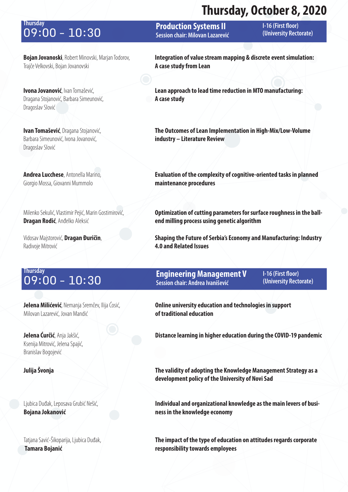### marcary<br> **O 9 : 00 - 10 : 30 Construction Systems II (University Rectorate)**<br>
Session chair: Miloyan Lazarević (University Rectorate) **Thursday**

**Production Systems II Session chair: Milovan Lazarević** **I-16 (First floor)** 

**Bojan Jovanoski**, Robert Minovski, Marjan Todorov, Trajče Velkovski, Bojan Jovanovski

**Ivona Jovanović**, Ivan Tomašević, Dragana Stojanović, Barbara Simeunović, Dragoslav Slović

**Ivan Tomašević**, Dragana Stojanović, Barbara Simeunović, Ivona Jovanović, Dragoslav Slović

**Andrea Lucchese**, Antonella Marino, Giorgio Mossa, Giovanni Mummolo

Milenko Sekulić, Vlastimir Pejić, Marin Gostimirović, **Dragan Rodić**, Anđelko Aleksić

Vidosav Majstorović, **Dragan Đuričin**, Radivoje Mitrović

**Integration of value stream mapping & discrete event simulation: A case study from Lean**

**Lean approach to lead time reduction in MTO manufacturing: A case study**

**The Outcomes of Lean Implementation in High-Mix/Low-Volume industry – Literature Review**

**Evaluation of the complexity of cognitive-oriented tasks in planned maintenance procedures**

**Optimization of cutting parameters for surface roughness in the ballend milling process using genetic algorithm**

**Shaping the Future of Serbia's Economy and Manufacturing: Industry 4.0 and Related Issues**

# **Thursday**

**Jelena Milićević**, Nemanja Sremčev, Ilija Ćosić, Milovan Lazarević, Jovan Mandić

**Jelena Ćurčić**, Anja Jakšić, Ksenija Mitrović, Jelena Spajić, Branislav Bogojević

Ljubica Duđak, Leposava Grubić Nešić, **Bojana Jokanović**

Tatjana Savić-Šikoparija, Ljubica Duđak, **Tamara Bojanić**

**Engineering Management V Session chair: Andrea Ivanišević 09:00 - 10:30 CHIP REGISTER CONSTRUSTION**<br>
Session chair: Andrea Ivanišević (University Rectorate)

**I-16 (First floor)** 

**Online university education and technologies in support of traditional education**

**Distance learning in higher education during the COVID-19 pandemic**

**Julija Švonja The validity of adopting the Knowledge Management Strategy as a development policy of the University of Novi Sad**

> **Individual and organizational knowledge as the main levers of business in the knowledge economy**

**The impact of the type of education on attitudes regards corporate responsibility towards employees**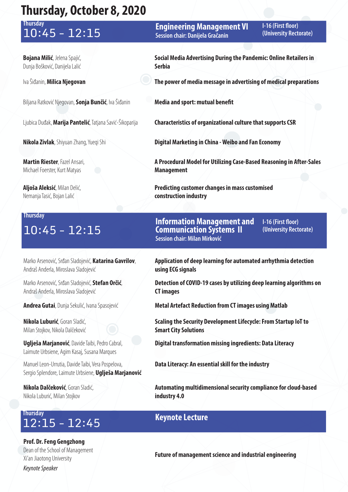# **Thursday**

**Bojana Milić**, Jelena Spajić, Dunja Bošković, Danijela Lalić

Biljana Ratković Njegovan, **Sonja Bunčić**, Iva Šiđanin **Media and sport: mutual benefit**

**Martin Riester**, Fazel Ansari, Michael Foerster, Kurt Matyas

**Aljoša Aleksić**, Milan Delić, Nemanja Tasić, Bojan Lalić

### **Thursday**

Marko Arsenović, Srđan Sladojević, **Katarina Gavrilov**, Andraš Anderla, Miroslava Sladojević

Marko Arsenović, Srđan Sladojević, **Stefan Orčić**, Andraš Anderla, Miroslava Sladojević

**Nikola Luburić**, Goran Sladić, Milan Stojkov, Nikola Dalčeković

**Uglješa Marjanović**, Davide Taibi, Pedro Cabral, Laimute Urbsiene, Agim Kasaj, Susana Marques

Manuel Leon-Urrutia, Davide Taibi, Vera Pospelova, Sergio Splendore, Laimute Urbsiene, **Uglješa Marjanović**

**Nikola Dalčeković**, Goran Sladić, Nikola Luburić, Milan Stojkov

### **Keynote Lecture** 12:15 - 12:45 **Thursday**

**Prof. Dr. Feng Gengzhong** Dean of the School of Management Xi'an Jiaotong University *Keynote Speaker*

**Engineering Management VI Session chair: Danijela Gračanin** 10:45 - 12:15 **(University Rectorate)**

**I-16 (First floor)** 

**Social Media Advertising During the Pandemic: Online Retailers in Serbia**

Iva Šiđanin, **Milica Njegovan The power of media message in advertising of medical preparations**

Ljubica Duđak, **Marija Pantelić**, Tatjana Savić-Šikoparija **Characteristics of organizational culture that supports CSR**

**Nikola Zivlak**, Shiyuan Zhang, Yueqi Shi **Digital Marketing in China - Weibo and Fan Economy**

**A Procedural Model for Utilizing Case-Based Reasoning in After-Sales Management**

**Predicting customer changes in mass customised construction industry**

10:45 - 12:15 **(University Rectorate) Information Management and Communication Systems II Session chair: Milan Mirković**

**I-16 (First floor)** 

**Application of deep learning for automated arrhythmia detection using ECG signals**

**Detection of COVID-19 cases by utilizing deep learning algorithms on CT images**

**Andrea Gutai**, Dunja Sekulić, Ivana Spasojević **Metal Artefact Reduction from CT images using Matlab** 

**Scaling the Security Development Lifecycle: From Startup IoT to Smart City Solutions**

**Digital transformation missing ingredients: Data Literacy**

**Data Literacy: An essential skill for the industry**

**Automating multidimensional security compliance for cloud-based industry 4.0**

**Future of management science and industrial engineering**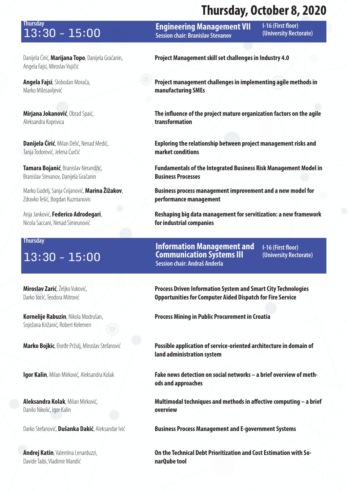# **Thursday**

Danijela Ćirić, **Marijana Topo**, Danijela Gračanin, Angela Fajsi, Miroslav Vujičić

**Angela Fajsi**, Slobodan Morača, Marko Milosavljević

**Mirjana Jokanović**, Obrad Spaić, Aleksandra Koprivica

**Danijela Ćirić**, Milan Delić, Nenad Medić, Tanja Todorović, Jelena Ćurčić

**Tamara Bojanić**, Branislav Nerandžić, Branislav Stevanov, Danijela Gračanin

Marko Gudelj, Sanja Cvijanović, **Marina Žižakov**, Zdravko Tešić, Bogdan Kuzmanovic

Anja Janković, **Federico Adrodegari**, Nicola Saccani, Nenad Simeunović

#### **Thursday**

**Miroslav Zarić**, Željko Vuković, Darko Jocić, Teodora Mitrović

**Kornelije Rabuzin**, Nikola Modrušan, Snježana Križanić, Robert Kelemen

**Aleksandra Kolak**, Milan Mirković, Danilo Nikolić, Igor Kalin

**Andrej Katin**, Valentina Lenarduzzi, Davide Taibi, Vladimir Mandić

**Engineering Management VII Session chair: Branislav Stevanov 13:30 - 15:00 • Engineering Management VII** Protestion (University Rectorate)

**I-16 (First floor)** 

**Project Management skill set challenges in Industry 4.0**

**Project management challenges in implementing agile methods in manufacturing SMEs**

**The influence of the project mature organization factors on the agile transformation**

**Exploring the relationship between project management risks and market conditions**

**Fundamentals of the Integrated Business Risk Management Model in Business Processes**

**Business process management improvement and a new model for performance management**

**Reshaping big data management for servitization: a new framework for industrial companies**

**Information Management and Communication Systems III Session chair: Andraš Anderla** 13:30 - 15:00 **Communication Systems III** (University Rectorate)

**I-16 (First floor)** 

**Process Driven Information System and Smart City Technologies Opportunities for Computer Aided Dispatch for Fire Service**

**Process Mining in Public Procurement in Croatia**

**Marko Bojkic**, Đorđe Pržulj, Miroslav Stefanović **Possible application of service-oriented architecture in domain of land administration system**

**Igor Kalin**, Milan Mirković, Aleksandra Kolak **Fake news detection on social networks – a brief overview of methods and approaches**

> **Multimodal techniques and methods in affective computing – a brief overview**

Darko Stefanović, **Dušanka Dakić**, Aleksandar Ivić **Business Process Management and E-government Systems** 

**On the Technical Debt Prioritization and Cost Estimation with SonarQube tool**